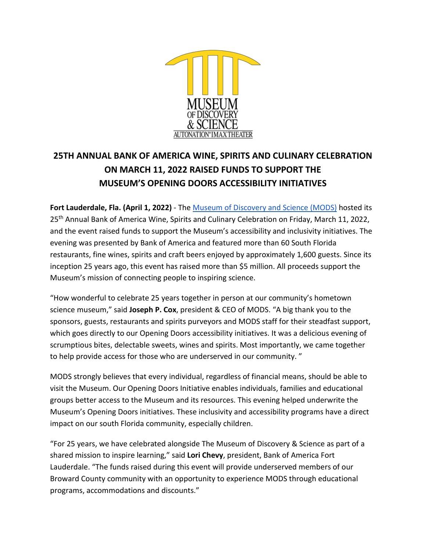

# **25TH ANNUAL BANK OF AMERICA WINE, SPIRITS AND CULINARY CELEBRATION ON MARCH 11, 2022 RAISED FUNDS TO SUPPORT THE MUSEUM'S OPENING DOORS ACCESSIBILITY INITIATIVES**

**Fort Lauderdale, Fla. (April 1, 2022)** - The [Museum of Discovery and Science \(MODS\)](http://mods.org/) hosted its 25<sup>th</sup> Annual Bank of America Wine, Spirits and Culinary Celebration on Friday, March 11, 2022, and the event raised funds to support the Museum's accessibility and inclusivity initiatives. The evening was presented by Bank of America and featured more than 60 South Florida restaurants, fine wines, spirits and craft beers enjoyed by approximately 1,600 guests. Since its inception 25 years ago, this event has raised more than \$5 million. All proceeds support the Museum's mission of connecting people to inspiring science.

"How wonderful to celebrate 25 years together in person at our community's hometown science museum," said **Joseph P. Cox**, president & CEO of MODS. "A big thank you to the sponsors, guests, restaurants and spirits purveyors and MODS staff for their steadfast support, which goes directly to our Opening Doors accessibility initiatives. It was a delicious evening of scrumptious bites, delectable sweets, wines and spirits. Most importantly, we came together to help provide access for those who are underserved in our community. "

MODS strongly believes that every individual, regardless of financial means, should be able to visit the Museum. Our Opening Doors Initiative enables individuals, families and educational groups better access to the Museum and its resources. This evening helped underwrite the Museum's Opening Doors initiatives. These inclusivity and accessibility programs have a direct impact on our south Florida community, especially children.

"For 25 years, we have celebrated alongside The Museum of Discovery & Science as part of a shared mission to inspire learning," said **Lori Chevy**, president, Bank of America Fort Lauderdale. "The funds raised during this event will provide underserved members of our Broward County community with an opportunity to experience MODS through educational programs, accommodations and discounts."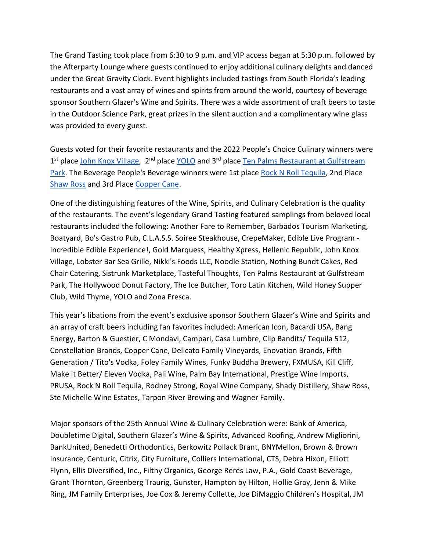The Grand Tasting took place from 6:30 to 9 p.m. and VIP access began at 5:30 p.m. followed by the Afterparty Lounge where guests continued to enjoy additional culinary delights and danced under the Great Gravity Clock. Event highlights included tastings from South Florida's leading restaurants and a vast array of wines and spirits from around the world, courtesy of beverage sponsor Southern Glazer's Wine and Spirits. There was a wide assortment of craft beers to taste in the Outdoor Science Park, great prizes in the silent auction and a complimentary wine glass was provided to every guest.

Guests voted for their favorite restaurants and the 2022 People's Choice Culinary winners were 1<sup>st</sup> place [John Knox Village,](https://johnknoxvillage.com/) 2<sup>nd</sup> place [YOLO](https://yolorestaurant.com/) and 3<sup>rd</sup> place Ten Palms Restaurant at Gulfstream [Park.](https://www.gulfstreampark.com/dining/detail/ten-palms) The Beverage People's Beverage winners were 1st place [Rock N Roll Tequila,](https://rocknrolltequila.com/) 2nd Place [Shaw Ross](https://www.shawross.com/) and 3rd Place [Copper Cane.](https://www.coppercane.com/)

One of the distinguishing features of the Wine, Spirits, and Culinary Celebration is the quality of the restaurants. The event's legendary Grand Tasting featured samplings from beloved local restaurants included the following: Another Fare to Remember, Barbados Tourism Marketing, Boatyard, Bo's Gastro Pub, C.L.A.S.S. Soiree Steakhouse, CrepeMaker, Edible Live Program - Incredible Edible Experience!, Gold Marquess, Healthy Xpress, Hellenic Republic, John Knox Village, Lobster Bar Sea Grille, Nikki's Foods LLC, Noodle Station, Nothing Bundt Cakes, Red Chair Catering, Sistrunk Marketplace, Tasteful Thoughts, Ten Palms Restaurant at Gulfstream Park, The Hollywood Donut Factory, The Ice Butcher, Toro Latin Kitchen, Wild Honey Supper Club, Wild Thyme, YOLO and Zona Fresca.

This year's libations from the event's exclusive sponsor Southern Glazer's Wine and Spirits and an array of craft beers including fan favorites included: American Icon, Bacardi USA, Bang Energy, Barton & Guestier, C Mondavi, Campari, Casa Lumbre, Clip Bandits/ Tequila 512, Constellation Brands, Copper Cane, Delicato Family Vineyards, Enovation Brands, Fifth Generation / Tito's Vodka, Foley Family Wines, Funky Buddha Brewery, FXMUSA, Kill Cliff, Make it Better/ Eleven Vodka, Pali Wine, Palm Bay International, Prestige Wine Imports, PRUSA, Rock N Roll Tequila, Rodney Strong, Royal Wine Company, Shady Distillery, Shaw Ross, Ste Michelle Wine Estates, Tarpon River Brewing and Wagner Family.

Major sponsors of the 25th Annual Wine & Culinary Celebration were: Bank of America, Doubletime Digital, Southern Glazer's Wine & Spirits, Advanced Roofing, Andrew Migliorini, BankUnited, Benedetti Orthodontics, Berkowitz Pollack Brant, BNYMellon, Brown & Brown Insurance, Centuric, Citrix, City Furniture, Colliers International, CTS, Debra Hixon, Elliott Flynn, Ellis Diversified, Inc., Filthy Organics, George Reres Law, P.A., Gold Coast Beverage, Grant Thornton, Greenberg Traurig, Gunster, Hampton by Hilton, Hollie Gray, Jenn & Mike Ring, JM Family Enterprises, Joe Cox & Jeremy Collette, Joe DiMaggio Children's Hospital, JM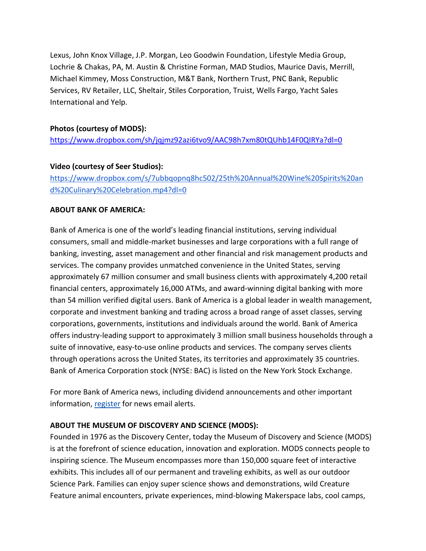Lexus, John Knox Village, J.P. Morgan, Leo Goodwin Foundation, Lifestyle Media Group, Lochrie & Chakas, PA, M. Austin & Christine Forman, MAD Studios, Maurice Davis, Merrill, Michael Kimmey, Moss Construction, M&T Bank, Northern Trust, PNC Bank, Republic Services, RV Retailer, LLC, Sheltair, Stiles Corporation, Truist, Wells Fargo, Yacht Sales International and Yelp.

#### **Photos (courtesy of MODS):**

<https://www.dropbox.com/sh/jqjmz92azi6tvo9/AAC98h7xm80tQUhb14F0QIRYa?dl=0>

### **Video (courtesy of Seer Studios):**

[https://www.dropbox.com/s/7ubbqopnq8hc502/25th%20Annual%20Wine%20Spirits%20an](https://www.dropbox.com/s/7ubbqopnq8hc502/25th%20Annual%20Wine%20Spirits%20and%20Culinary%20Celebration.mp4?dl=0) [d%20Culinary%20Celebration.mp4?dl=0](https://www.dropbox.com/s/7ubbqopnq8hc502/25th%20Annual%20Wine%20Spirits%20and%20Culinary%20Celebration.mp4?dl=0)

#### **ABOUT BANK OF AMERICA:**

Bank of America is one of the world's leading financial institutions, serving individual consumers, small and middle-market businesses and large corporations with a full range of banking, investing, asset management and other financial and risk management products and services. The company provides unmatched convenience in the United States, serving approximately 67 million consumer and small business clients with approximately 4,200 retail financial centers, approximately 16,000 ATMs, and award-winning digital banking with more than 54 million verified digital users. Bank of America is a global leader in wealth management, corporate and investment banking and trading across a broad range of asset classes, serving corporations, governments, institutions and individuals around the world. Bank of America offers industry-leading support to approximately 3 million small business households through a suite of innovative, easy-to-use online products and services. The company serves clients through operations across the United States, its territories and approximately 35 countries. Bank of America Corporation stock (NYSE: BAC) is listed on the New York Stock Exchange.

For more Bank of America news, including dividend announcements and other important information, [register](https://newsroom.bankofamerica.com/content/newsroom/email-subscription-form.html) for news email alerts.

## **ABOUT THE MUSEUM OF DISCOVERY AND SCIENCE (MODS):**

Founded in 1976 as the Discovery Center, today the Museum of Discovery and Science (MODS) is at the forefront of science education, innovation and exploration. MODS connects people to inspiring science. The Museum encompasses more than 150,000 square feet of interactive exhibits. This includes all of our permanent and traveling exhibits, as well as our outdoor Science Park. Families can enjoy super science shows and demonstrations, wild Creature Feature animal encounters, private experiences, mind-blowing Makerspace labs, cool camps,